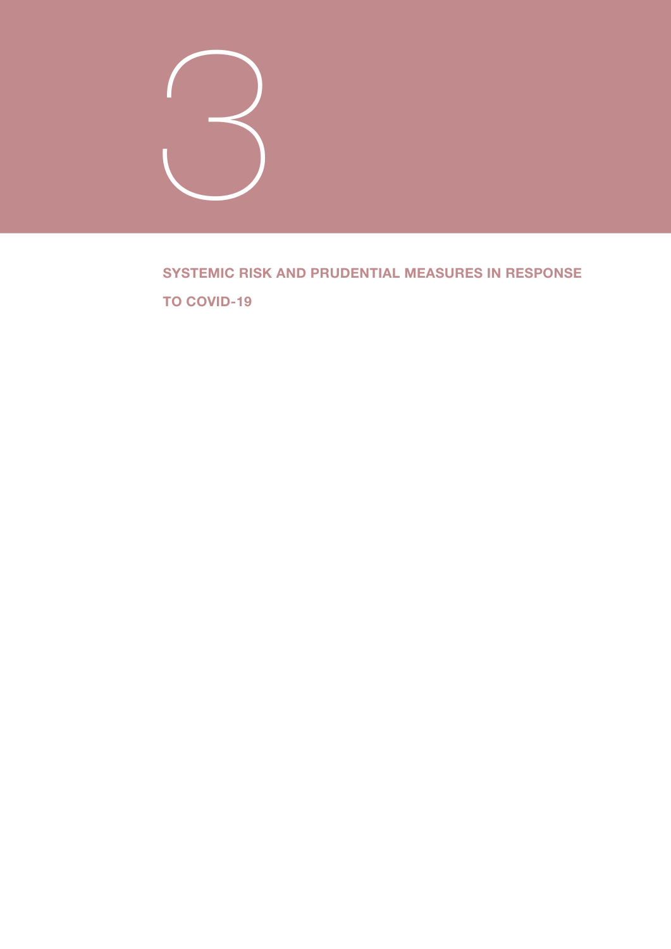

SYSTEMIC RISK AND PRUDENTIAL MEASURES IN RESPONSE TO COVID-19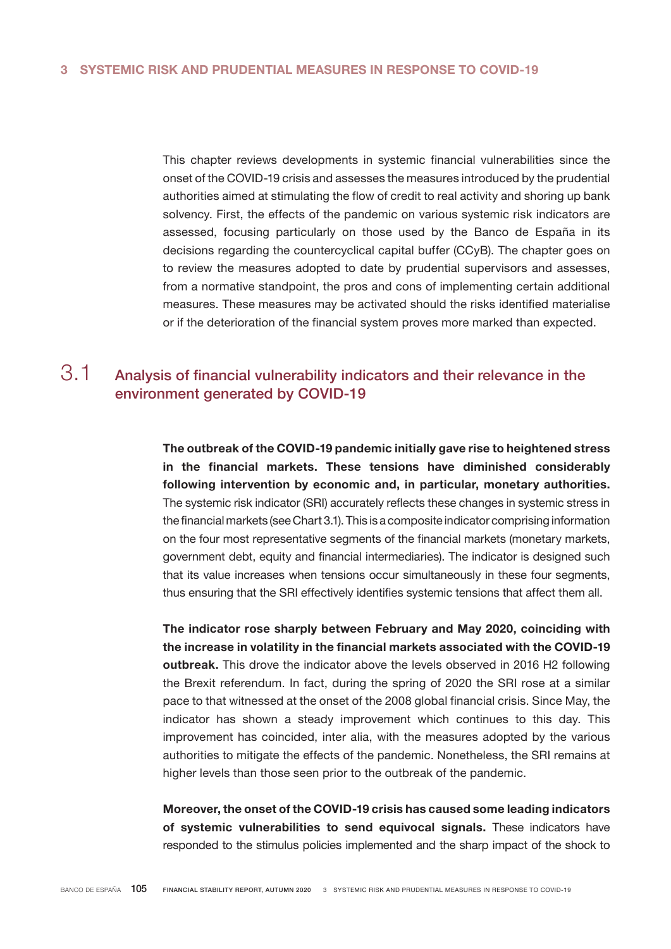This chapter reviews developments in systemic financial vulnerabilities since the onset of the COVID-19 crisis and assesses the measures introduced by the prudential authorities aimed at stimulating the flow of credit to real activity and shoring up bank solvency. First, the effects of the pandemic on various systemic risk indicators are assessed, focusing particularly on those used by the Banco de España in its decisions regarding the countercyclical capital buffer (CCyB). The chapter goes on to review the measures adopted to date by prudential supervisors and assesses, from a normative standpoint, the pros and cons of implementing certain additional measures. These measures may be activated should the risks identified materialise or if the deterioration of the financial system proves more marked than expected.

# 3.1 Analysis of financial vulnerability indicators and their relevance in the environment generated by COVID-19

The outbreak of the COVID-19 pandemic initially gave rise to heightened stress in the financial markets. These tensions have diminished considerably following intervention by economic and, in particular, monetary authorities. The systemic risk indicator (SRI) accurately reflects these changes in systemic stress in the financial markets (see Chart 3.1). This is a composite indicator comprising information on the four most representative segments of the financial markets (monetary markets, government debt, equity and financial intermediaries). The indicator is designed such that its value increases when tensions occur simultaneously in these four segments, thus ensuring that the SRI effectively identifies systemic tensions that affect them all.

The indicator rose sharply between February and May 2020, coinciding with the increase in volatility in the financial markets associated with the COVID-19 outbreak. This drove the indicator above the levels observed in 2016 H2 following the Brexit referendum. In fact, during the spring of 2020 the SRI rose at a similar pace to that witnessed at the onset of the 2008 global financial crisis. Since May, the indicator has shown a steady improvement which continues to this day. This improvement has coincided, inter alia, with the measures adopted by the various authorities to mitigate the effects of the pandemic. Nonetheless, the SRI remains at higher levels than those seen prior to the outbreak of the pandemic.

Moreover, the onset of the COVID-19 crisis has caused some leading indicators of systemic vulnerabilities to send equivocal signals. These indicators have responded to the stimulus policies implemented and the sharp impact of the shock to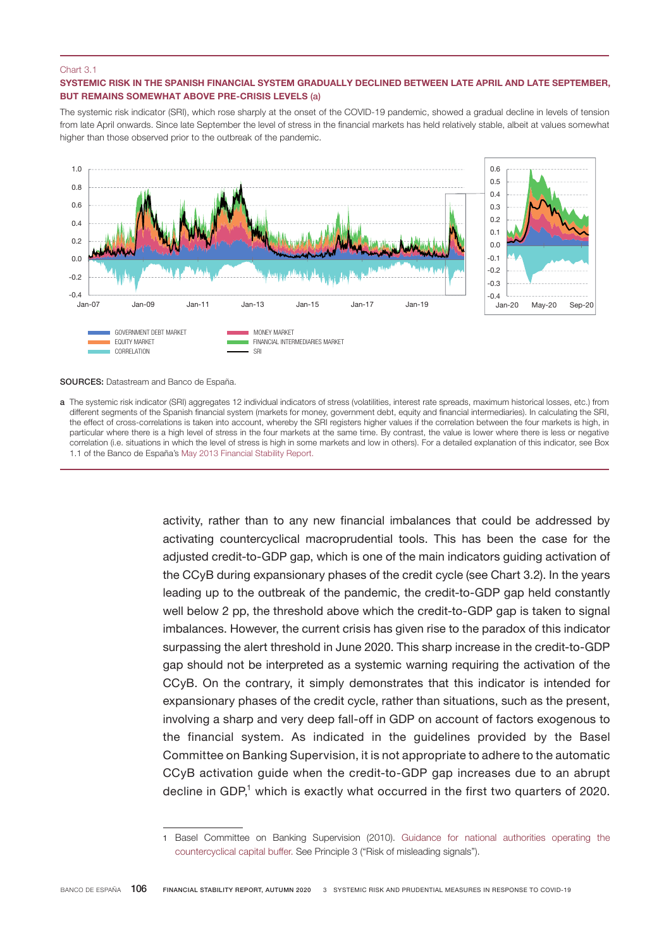### Chart 3.1

## SYSTEMIC RISK IN THE SPANISH FINANCIAL SYSTEM GRADUALLY DECLINED BETWEEN LATE APRIL AND LATE SEPTEMBER, BUT REMAINS SOMEWHAT ABOVE PRE-CRISIS LEVELS (a)

The systemic risk indicator (SRI), which rose sharply at the onset of the COVID-19 pandemic, showed a gradual decline in levels of tension from late April onwards. Since late September the level of stress in the financial markets has held relatively stable, albeit at values somewhat higher than those observed prior to the outbreak of the pandemic.



SOURCES: Datastream and Banco de España.

a The systemic risk indicator (SRI) aggregates 12 individual indicators of stress (volatilities, interest rate spreads, maximum historical losses, etc.) from different segments of the Spanish financial system (markets for money, government debt, equity and financial intermediaries). In calculating the SRI, the effect of cross-correlations is taken into account, whereby the SRI registers higher values if the correlation between the four markets is high, in particular where there is a high level of stress in the four markets at the same time. By contrast, the value is lower where there is less or negative correlation (i.e. situations in which the level of stress is high in some markets and low in others). For a detailed explanation of this indicator, see Box 1.1 of the Banco de España's May 2013 Financial Stability Report.

> activity, rather than to any new financial imbalances that could be addressed by activating countercyclical macroprudential tools. This has been the case for the adjusted credit-to-GDP gap, which is one of the main indicators guiding activation of the CCyB during expansionary phases of the credit cycle (see Chart 3.2). In the years leading up to the outbreak of the pandemic, the credit-to-GDP gap held constantly well below 2 pp, the threshold above which the credit-to-GDP gap is taken to signal imbalances. However, the current crisis has given rise to the paradox of this indicator surpassing the alert threshold in June 2020. This sharp increase in the credit-to-GDP gap should not be interpreted as a systemic warning requiring the activation of the CCyB. On the contrary, it simply demonstrates that this indicator is intended for expansionary phases of the credit cycle, rather than situations, such as the present, involving a sharp and very deep fall-off in GDP on account of factors exogenous to the financial system. As indicated in the guidelines provided by the Basel Committee on Banking Supervision, it is not appropriate to adhere to the automatic CCyB activation guide when the credit-to-GDP gap increases due to an abrupt decline in GDP, $1$  which is exactly what occurred in the first two quarters of 2020.

<sup>1</sup> Basel Committee on Banking Supervision (2010). Guidance for national [authorities](https://www.bis.org/publ/bcbs187.htm) operating the [countercyclical](https://www.bis.org/publ/bcbs187.htm) capital buffer. See Principle 3 ("Risk of misleading signals").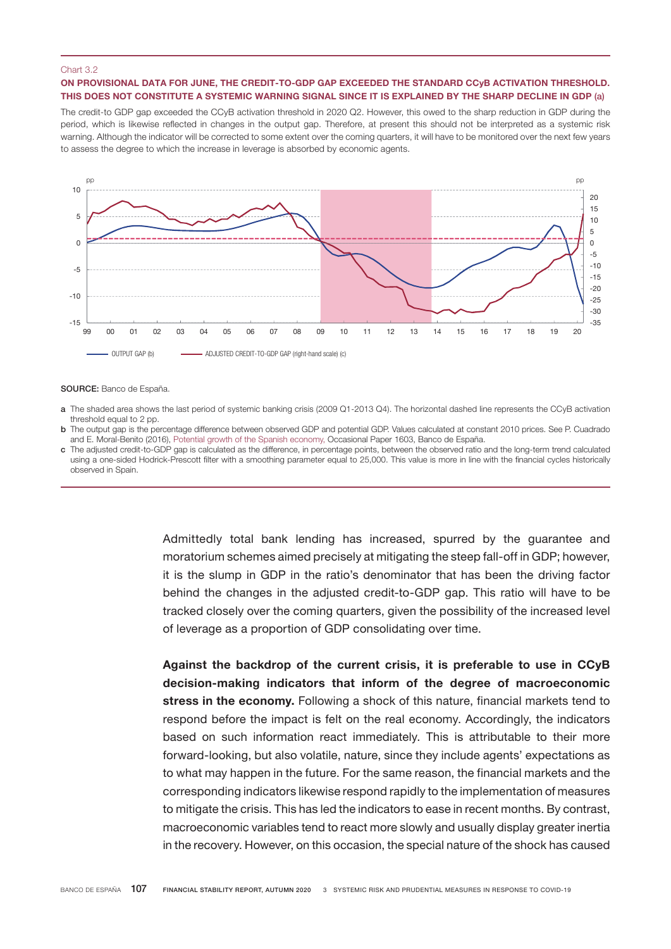### Chart 3.2

## ON PROVISIONAL DATA FOR JUNE, THE CREDIT-TO-GDP GAP EXCEEDED THE STANDARD CCyB ACTIVATION THRESHOLD. THIS DOES NOT CONSTITUTE A SYSTEMIC WARNING SIGNAL SINCE IT IS EXPLAINED BY THE SHARP DECLINE IN GDP (a)

The credit-to GDP gap exceeded the CCyB activation threshold in 2020 Q2. However, this owed to the sharp reduction in GDP during the period, which is likewise reflected in changes in the output gap. Therefore, at present this should not be interpreted as a systemic risk warning. Although the indicator will be corrected to some extent over the coming quarters, it will have to be monitored over the next few years to assess the degree to which the increase in leverage is absorbed by economic agents.



#### SOURCE: Banco de España.

- a The shaded area shows the last period of systemic banking crisis (2009 Q1-2013 Q4). The horizontal dashed line represents the CCyB activation threshold equal to 2 pp.
- b The output gap is the percentage difference between observed GDP and potential GDP. Values calculated at constant 2010 prices. See P. Cuadrado and E. Moral-Benito (2016)[, Potential growth of the Spanish economy, O](https://www.bde.es/f/webbde/SES/Secciones/Publicaciones/PublicacionesSeriadas/DocumentosOcasionales/16/Fich/do1603e.pd)ccasional Paper 1603, Banco de España.
- c The adjusted credit-to-GDP gap is calculated as the difference, in percentage points, between the observed ratio and the long-term trend calculated using a one-sided Hodrick-Prescott filter with a smoothing parameter equal to 25,000. This value is more in line with the financial cycles historically observed in Spain.

Admittedly total bank lending has increased, spurred by the guarantee and moratorium schemes aimed precisely at mitigating the steep fall-off in GDP; however, it is the slump in GDP in the ratio's denominator that has been the driving factor behind the changes in the adjusted credit-to-GDP gap. This ratio will have to be tracked closely over the coming quarters, given the possibility of the increased level of leverage as a proportion of GDP consolidating over time.

Against the backdrop of the current crisis, it is preferable to use in CCyB decision-making indicators that inform of the degree of macroeconomic stress in the economy. Following a shock of this nature, financial markets tend to respond before the impact is felt on the real economy. Accordingly, the indicators based on such information react immediately. This is attributable to their more forward-looking, but also volatile, nature, since they include agents' expectations as to what may happen in the future. For the same reason, the financial markets and the corresponding indicators likewise respond rapidly to the implementation of measures to mitigate the crisis. This has led the indicators to ease in recent months. By contrast, macroeconomic variables tend to react more slowly and usually display greater inertia in the recovery. However, on this occasion, the special nature of the shock has caused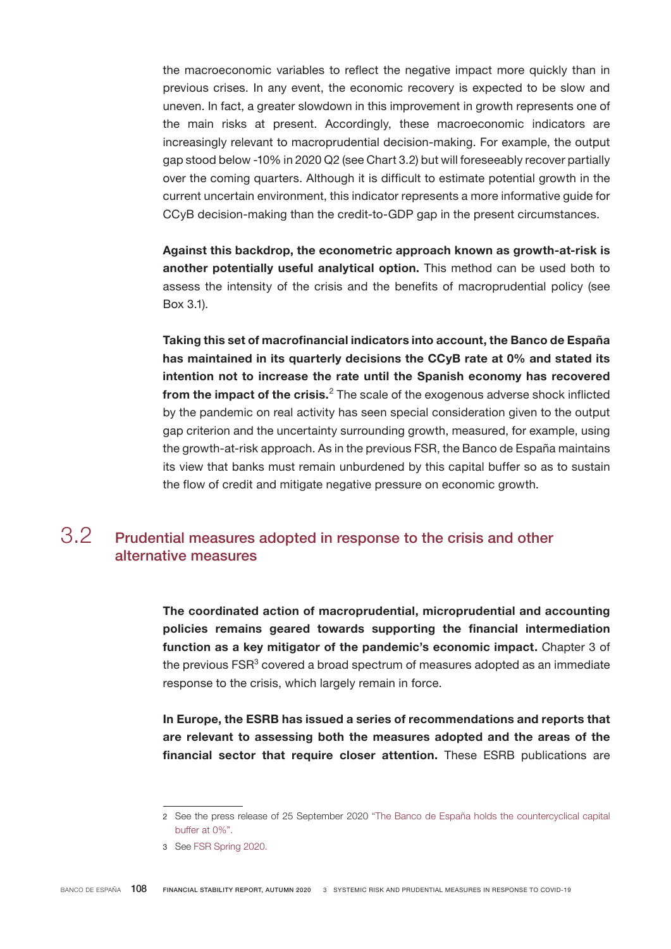the macroeconomic variables to reflect the negative impact more quickly than in previous crises. In any event, the economic recovery is expected to be slow and uneven. In fact, a greater slowdown in this improvement in growth represents one of the main risks at present. Accordingly, these macroeconomic indicators are increasingly relevant to macroprudential decision-making. For example, the output gap stood below -10% in 2020 Q2 (see Chart 3.2) but will foreseeably recover partially over the coming quarters. Although it is difficult to estimate potential growth in the current uncertain environment, this indicator represents a more informative guide for CCyB decision-making than the credit-to-GDP gap in the present circumstances.

Against this backdrop, the econometric approach known as growth-at-risk is another potentially useful analytical option. This method can be used both to assess the intensity of the crisis and the benefits of macroprudential policy (see Box 3.1).

Taking this set of macrofinancial indicators into account, the Banco de España has maintained in its quarterly decisions the CCyB rate at 0% and stated its intention not to increase the rate until the Spanish economy has recovered from the impact of the crisis. $<sup>2</sup>$  The scale of the exogenous adverse shock inflicted</sup> by the pandemic on real activity has seen special consideration given to the output gap criterion and the uncertainty surrounding growth, measured, for example, using the growth-at-risk approach. As in the previous FSR, the Banco de España maintains its view that banks must remain unburdened by this capital buffer so as to sustain the flow of credit and mitigate negative pressure on economic growth.

# 3.2 Prudential measures adopted in response to the crisis and other alternative measures

The coordinated action of macroprudential, microprudential and accounting policies remains geared towards supporting the financial intermediation function as a key mitigator of the pandemic's economic impact. Chapter 3 of the previous  $\mathsf{FSR}^3$  covered a broad spectrum of measures adopted as an immediate response to the crisis, which largely remain in force.

In Europe, the ESRB has issued a series of recommendations and reports that are relevant to assessing both the measures adopted and the areas of the financial sector that require closer attention. These ESRB publications are

<sup>2</sup> See the press release of 25 September 2020 ["The Banco de España holds the countercyclical capital](https://www.bde.es/f/webbde/GAP/Secciones/SalaPrensa/NotasInformativas/20/presbe2020_71en.pdf) [buffer](https://www.bde.es/f/webbde/GAP/Secciones/SalaPrensa/NotasInformativas/20/presbe2020_71en.pdf) at 0%".

<sup>3</sup> See [FSR Spring 2020.](https://www.bde.es/f/webbde/Secciones/Publicaciones/InformesBoletinesRevistas/InformesEstabilidadFinancera/20/ficheros/FSR_Spring2020.pdf)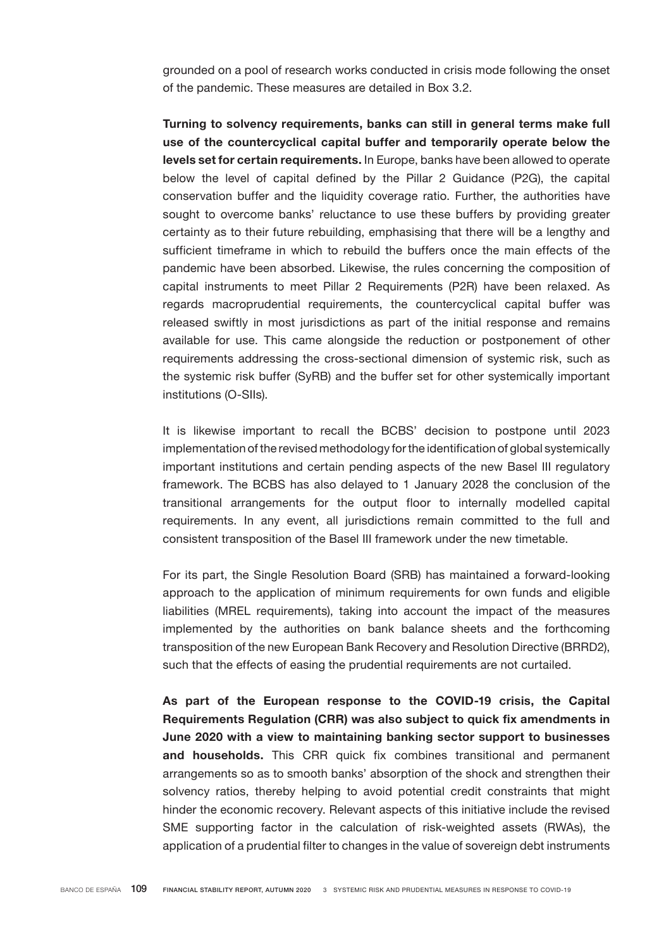grounded on a pool of research works conducted in crisis mode following the onset of the pandemic. These measures are detailed in Box 3.2.

Turning to solvency requirements, banks can still in general terms make full use of the countercyclical capital buffer and temporarily operate below the levels set for certain requirements. In Europe, banks have been allowed to operate below the level of capital defined by the Pillar 2 Guidance (P2G), the capital conservation buffer and the liquidity coverage ratio. Further, the authorities have sought to overcome banks' reluctance to use these buffers by providing greater certainty as to their future rebuilding, emphasising that there will be a lengthy and sufficient timeframe in which to rebuild the buffers once the main effects of the pandemic have been absorbed. Likewise, the rules concerning the composition of capital instruments to meet Pillar 2 Requirements (P2R) have been relaxed. As regards macroprudential requirements, the countercyclical capital buffer was released swiftly in most jurisdictions as part of the initial response and remains available for use. This came alongside the reduction or postponement of other requirements addressing the cross-sectional dimension of systemic risk, such as the systemic risk buffer (SyRB) and the buffer set for other systemically important institutions (O-SIIs).

It is likewise important to recall the BCBS' decision to postpone until 2023 implementation of the revised methodology for the identification of global systemically important institutions and certain pending aspects of the new Basel III regulatory framework. The BCBS has also delayed to 1 January 2028 the conclusion of the transitional arrangements for the output floor to internally modelled capital requirements. In any event, all jurisdictions remain committed to the full and consistent transposition of the Basel III framework under the new timetable.

For its part, the Single Resolution Board (SRB) has maintained a forward-looking approach to the application of minimum requirements for own funds and eligible liabilities (MREL requirements), taking into account the impact of the measures implemented by the authorities on bank balance sheets and the forthcoming transposition of the new European Bank Recovery and Resolution Directive (BRRD2), such that the effects of easing the prudential requirements are not curtailed.

As part of the European response to the COVID-19 crisis, the Capital Requirements Regulation (CRR) was also subject to quick fix amendments in June 2020 with a view to maintaining banking sector support to businesses and households. This CRR quick fix combines transitional and permanent arrangements so as to smooth banks' absorption of the shock and strengthen their solvency ratios, thereby helping to avoid potential credit constraints that might hinder the economic recovery. Relevant aspects of this initiative include the revised SME supporting factor in the calculation of risk-weighted assets (RWAs), the application of a prudential filter to changes in the value of sovereign debt instruments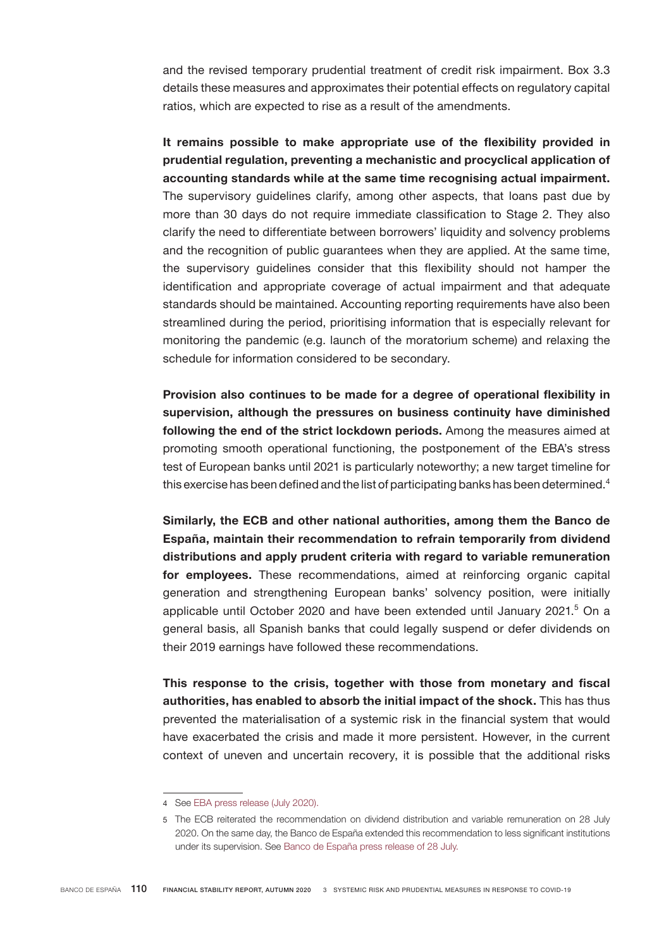and the revised temporary prudential treatment of credit risk impairment. Box 3.3 details these measures and approximates their potential effects on regulatory capital ratios, which are expected to rise as a result of the amendments.

It remains possible to make appropriate use of the flexibility provided in prudential regulation, preventing a mechanistic and procyclical application of accounting standards while at the same time recognising actual impairment. The supervisory guidelines clarify, among other aspects, that loans past due by more than 30 days do not require immediate classification to Stage 2. They also clarify the need to differentiate between borrowers' liquidity and solvency problems and the recognition of public guarantees when they are applied. At the same time, the supervisory guidelines consider that this flexibility should not hamper the identification and appropriate coverage of actual impairment and that adequate standards should be maintained. Accounting reporting requirements have also been streamlined during the period, prioritising information that is especially relevant for monitoring the pandemic (e.g. launch of the moratorium scheme) and relaxing the schedule for information considered to be secondary.

Provision also continues to be made for a degree of operational flexibility in supervision, although the pressures on business continuity have diminished following the end of the strict lockdown periods. Among the measures aimed at promoting smooth operational functioning, the postponement of the EBA's stress test of European banks until 2021 is particularly noteworthy; a new target timeline for this exercise has been defined and the list of participating banks has been determined. $4$ 

Similarly, the ECB and other national authorities, among them the Banco de España, maintain their recommendation to refrain temporarily from dividend distributions and apply prudent criteria with regard to variable remuneration for employees. These recommendations, aimed at reinforcing organic capital generation and strengthening European banks' solvency position, were initially applicable until October 2020 and have been extended until January 2021.<sup>5</sup> On a general basis, all Spanish banks that could legally suspend or defer dividends on their 2019 earnings have followed these recommendations.

This response to the crisis, together with those from monetary and fiscal authorities, has enabled to absorb the initial impact of the shock. This has thus prevented the materialisation of a systemic risk in the financial system that would have exacerbated the crisis and made it more persistent. However, in the current context of uneven and uncertain recovery, it is possible that the additional risks

<sup>4</sup> See EBA press [release](https://eba.europa.eu/sites/default/documents/files/document_library/News%2520and%2520Press/Press%2520Room/Press%2520Releases/2020/EBA%2520updates%2520on%25202021%2520EU-wide%2520stress%2520test%2520timeline%2C%2520sample%2520and%2520potential%2520future%2520changes%2520to%2520its%2520framework/897896/EU-wide%2520stress%2520test%2520-%2520Sample%2520of%2520banks.pdf) (July 2020).

<sup>5</sup> The ECB reiterated the recommendation on dividend distribution and variable remuneration on 28 July 2020. On the same day, the Banco de España extended this recommendation to less significant institutions under its supervision. See Banco de [España](https://www.bde.es/f/webbde/GAP/Secciones/SalaPrensa/ComunicadosBCE/NotasInformativasBCE/20/presbce2020_134en.pdf) press release of 28 July.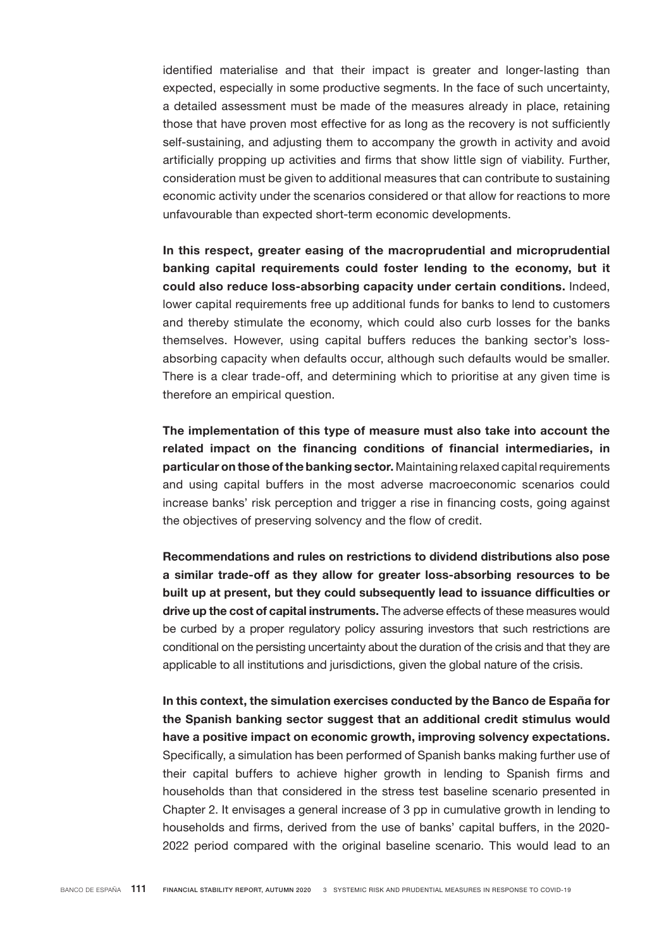identified materialise and that their impact is greater and longer-lasting than expected, especially in some productive segments. In the face of such uncertainty, a detailed assessment must be made of the measures already in place, retaining those that have proven most effective for as long as the recovery is not sufficiently self-sustaining, and adjusting them to accompany the growth in activity and avoid artificially propping up activities and firms that show little sign of viability. Further, consideration must be given to additional measures that can contribute to sustaining economic activity under the scenarios considered or that allow for reactions to more unfavourable than expected short-term economic developments.

In this respect, greater easing of the macroprudential and microprudential banking capital requirements could foster lending to the economy, but it could also reduce loss-absorbing capacity under certain conditions. Indeed, lower capital requirements free up additional funds for banks to lend to customers and thereby stimulate the economy, which could also curb losses for the banks themselves. However, using capital buffers reduces the banking sector's lossabsorbing capacity when defaults occur, although such defaults would be smaller. There is a clear trade-off, and determining which to prioritise at any given time is therefore an empirical question.

The implementation of this type of measure must also take into account the related impact on the financing conditions of financial intermediaries, in particular on those ofthe banking sector. Maintaining relaxed capital requirements and using capital buffers in the most adverse macroeconomic scenarios could increase banks' risk perception and trigger a rise in financing costs, going against the objectives of preserving solvency and the flow of credit.

Recommendations and rules on restrictions to dividend distributions also pose a similar trade-off as they allow for greater loss-absorbing resources to be built up at present, but they could subsequently lead to issuance difficulties or drive up the cost of capital instruments. The adverse effects of these measures would be curbed by a proper regulatory policy assuring investors that such restrictions are conditional on the persisting uncertainty about the duration of the crisis and that they are applicable to all institutions and jurisdictions, given the global nature of the crisis.

In this context, the simulation exercises conducted by the Banco de España for the Spanish banking sector suggest that an additional credit stimulus would have a positive impact on economic growth, improving solvency expectations. Specifically, a simulation has been performed of Spanish banks making further use of their capital buffers to achieve higher growth in lending to Spanish firms and households than that considered in the stress test baseline scenario presented in Chapter 2. It envisages a general increase of 3 pp in cumulative growth in lending to households and firms, derived from the use of banks' capital buffers, in the 2020- 2022 period compared with the original baseline scenario. This would lead to an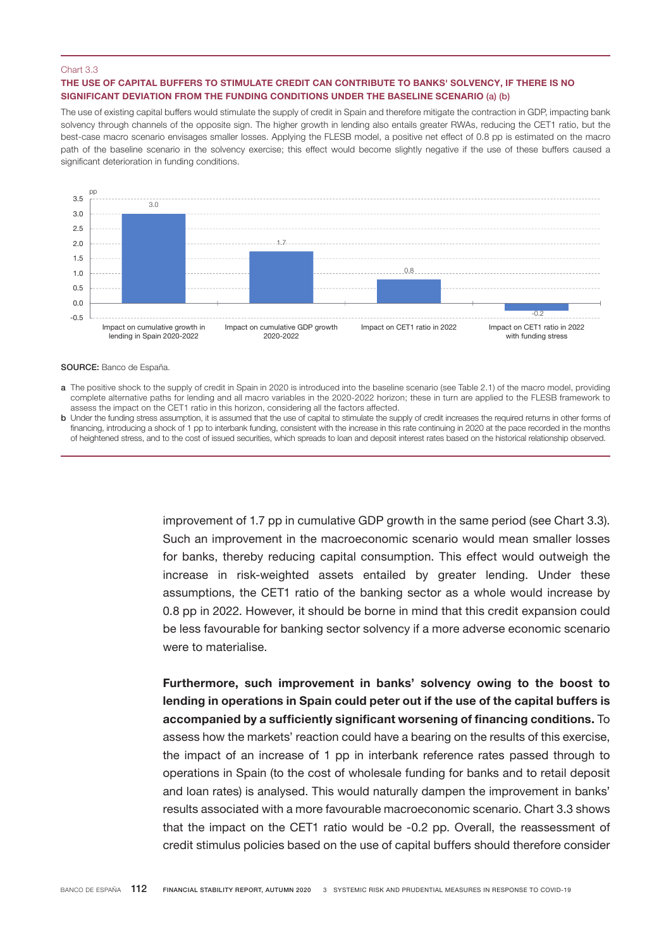## Chart 3.3

## THE USE OF CAPITAL BUFFERS TO STIMULATE CREDIT CAN CONTRIBUTE TO BANKS' SOLVENCY, IF THERE IS NO SIGNIFICANT DEVIATION FROM THE FUNDING CONDITIONS UNDER THE BASELINE SCENARIO (a) (b)

The use of existing capital buffers would stimulate the supply of credit in Spain and therefore mitigate the contraction in GDP, impacting bank solvency through channels of the opposite sign. The higher growth in lending also entails greater RWAs, reducing the CET1 ratio, but the best-case macro scenario envisages smaller losses. Applying the FLESB model, a positive net effect of 0.8 pp is estimated on the macro path of the baseline scenario in the solvency exercise; this effect would become slightly negative if the use of these buffers caused a significant deterioration in funding conditions.



#### SOURCE: Banco de España.

- a The positive shock to the supply of credit in Spain in 2020 is introduced into the baseline scenario (see Table 2.1) of the macro model, providing complete alternative paths for lending and all macro variables in the 2020-2022 horizon; these in turn are applied to the FLESB framework to assess the impact on the CET1 ratio in this horizon, considering all the factors affected.
- **b** Under the funding stress assumption, it is assumed that the use of capital to stimulate the supply of credit increases the required returns in other forms of financing, introducing a shock of 1 pp to interbank funding, consistent with the increase in this rate continuing in 2020 at the pace recorded in the months of heightened stress, and to the cost of issued securities, which spreads to loan and deposit interest rates based on the historical relationship observed.

improvement of 1.7 pp in cumulative GDP growth in the same period (see Chart 3.3). Such an improvement in the macroeconomic scenario would mean smaller losses for banks, thereby reducing capital consumption. This effect would outweigh the increase in risk-weighted assets entailed by greater lending. Under these assumptions, the CET1 ratio of the banking sector as a whole would increase by 0.8 pp in 2022. However, it should be borne in mind that this credit expansion could be less favourable for banking sector solvency if a more adverse economic scenario were to materialise.

Furthermore, such improvement in banks' solvency owing to the boost to lending in operations in Spain could peter out if the use of the capital buffers is accompanied by a sufficiently significant worsening of financing conditions. To assess how the markets' reaction could have a bearing on the results of this exercise, the impact of an increase of 1 pp in interbank reference rates passed through to operations in Spain (to the cost of wholesale funding for banks and to retail deposit and loan rates) is analysed. This would naturally dampen the improvement in banks' results associated with a more favourable macroeconomic scenario. Chart 3.3 shows that the impact on the CET1 ratio would be -0.2 pp. Overall, the reassessment of credit stimulus policies based on the use of capital buffers should therefore consider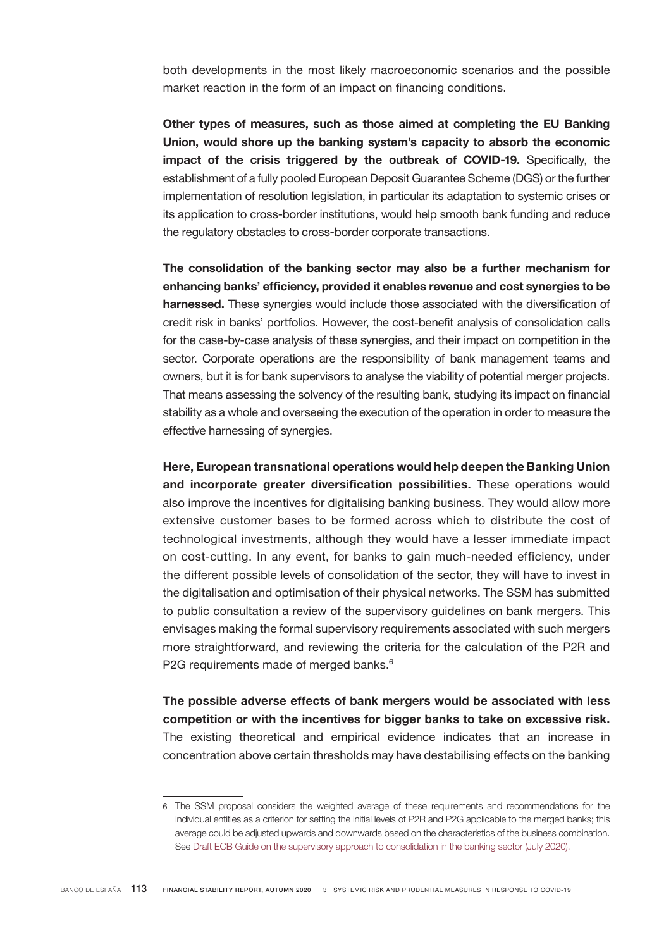both developments in the most likely macroeconomic scenarios and the possible market reaction in the form of an impact on financing conditions.

Other types of measures, such as those aimed at completing the EU Banking Union, would shore up the banking system's capacity to absorb the economic impact of the crisis triggered by the outbreak of COVID-19. Specifically, the establishment of a fully pooled European Deposit Guarantee Scheme (DGS) or the further implementation of resolution legislation, in particular its adaptation to systemic crises or its application to cross-border institutions, would help smooth bank funding and reduce the regulatory obstacles to cross-border corporate transactions.

The consolidation of the banking sector may also be a further mechanism for enhancing banks' efficiency, provided it enables revenue and cost synergies to be harnessed. These synergies would include those associated with the diversification of credit risk in banks' portfolios. However, the cost-benefit analysis of consolidation calls for the case-by-case analysis of these synergies, and their impact on competition in the sector. Corporate operations are the responsibility of bank management teams and owners, but it is for bank supervisors to analyse the viability of potential merger projects. That means assessing the solvency of the resulting bank, studying its impact on financial stability as a whole and overseeing the execution of the operation in order to measure the effective harnessing of synergies.

Here, European transnational operations would help deepen the Banking Union and incorporate greater diversification possibilities. These operations would also improve the incentives for digitalising banking business. They would allow more extensive customer bases to be formed across which to distribute the cost of technological investments, although they would have a lesser immediate impact on cost-cutting. In any event, for banks to gain much-needed efficiency, under the different possible levels of consolidation of the sector, they will have to invest in the digitalisation and optimisation of their physical networks. The SSM has submitted to public consultation a review of the supervisory guidelines on bank mergers. This envisages making the formal supervisory requirements associated with such mergers more straightforward, and reviewing the criteria for the calculation of the P2R and P2G requirements made of merged banks.<sup>6</sup>

The possible adverse effects of bank mergers would be associated with less competition or with the incentives for bigger banks to take on excessive risk. The existing theoretical and empirical evidence indicates that an increase in concentration above certain thresholds may have destabilising effects on the banking

<sup>6</sup> The SSM proposal considers the weighted average of these requirements and recommendations for the individual entities as a criterion for setting the initial levels of P2R and P2G applicable to the merged banks; this average could be adjusted upwards and downwards based on the characteristics of the business combination. See Draft ECB Guide on the supervisory approach to [consolidation](https://www.bankingsupervision.europa.eu/legalframework/publiccons/pdf/consolidation/ssm.guideconsolidation_draft.en.pdf) in the banking sector (July 2020).